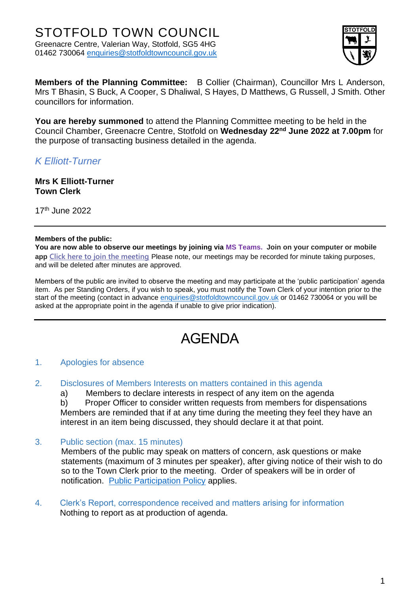

**Members of the Planning Committee:** B Collier (Chairman), Councillor Mrs L Anderson, Mrs T Bhasin, S Buck, A Cooper, S Dhaliwal, S Hayes, D Matthews, G Russell, J Smith. Other councillors for information.

**You are hereby summoned** to attend the Planning Committee meeting to be held in the Council Chamber, Greenacre Centre, Stotfold on **Wednesday 22nd June 2022 at 7.00pm** for the purpose of transacting business detailed in the agenda.

*K Elliott-Turner*

**Mrs K Elliott-Turner Town Clerk**

17th June 2022

#### **Members of the public:**

**You are now able to observe our meetings by joining via MS Teams. Join on your computer or mobile app [Click here to join the meeting](https://teams.microsoft.com/l/meetup-join/19%3ameeting_ZmM5ZTk5ZmItNzVlMy00MTdjLWE2YWItZWMxMWIxNTE4ZTYz%40thread.v2/0?context=%7b%22Tid%22%3a%22c8e6c286-9a16-4a60-bf04-466025d62773%22%2c%22Oid%22%3a%22ed2f2627-61b9-4395-8cb9-d432c543d4ef%22%7d)** Please note, our meetings may be recorded for minute taking purposes, and will be deleted after minutes are approved.

Members of the public are invited to observe the meeting and may participate at the 'public participation' agenda item. As per Standing Orders, if you wish to speak, you must notify the Town Clerk of your intention prior to the start of the meeting (contact in advance [enquiries@stotfoldtowncouncil.gov.uk](mailto:enquiries@stotfoldtowncouncil.gov.uk) or 01462 730064 or you will be asked at the appropriate point in the agenda if unable to give prior indication).

# AGENDA

## 1. Apologies for absence

2. Disclosures of Members Interests on matters contained in this agenda

a) Members to declare interests in respect of any item on the agenda

b) Proper Officer to consider written requests from members for dispensations Members are reminded that if at any time during the meeting they feel they have an interest in an item being discussed, they should declare it at that point.

3. Public section (max. 15 minutes)

Members of the public may speak on matters of concern, ask questions or make statements (maximum of 3 minutes per speaker), after giving notice of their wish to do so to the Town Clerk prior to the meeting. Order of speakers will be in order of notification. [Public Participation Policy](http://www.stotfoldtowncouncil.gov.uk/_UserFiles/Files/Council/PUBLIC%20PARTICIPATION.pdf) applies.

4. Clerk's Report, correspondence received and matters arising for information Nothing to report as at production of agenda.